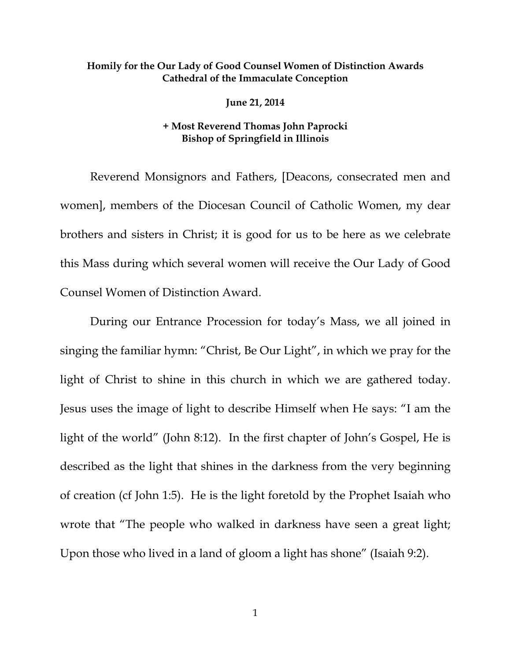## **Homily for the Our Lady of Good Counsel Women of Distinction Awards Cathedral of the Immaculate Conception**

**June 21, 2014** 

## **+ Most Reverend Thomas John Paprocki Bishop of Springfield in Illinois**

 Reverend Monsignors and Fathers, [Deacons, consecrated men and women], members of the Diocesan Council of Catholic Women, my dear brothers and sisters in Christ; it is good for us to be here as we celebrate this Mass during which several women will receive the Our Lady of Good Counsel Women of Distinction Award.

 During our Entrance Procession for today's Mass, we all joined in singing the familiar hymn: "Christ, Be Our Light", in which we pray for the light of Christ to shine in this church in which we are gathered today. Jesus uses the image of light to describe Himself when He says: "I am the light of the world" (John 8:12). In the first chapter of John's Gospel, He is described as the light that shines in the darkness from the very beginning of creation (cf John 1:5). He is the light foretold by the Prophet Isaiah who wrote that "The people who walked in darkness have seen a great light; Upon those who lived in a land of gloom a light has shone" (Isaiah 9:2).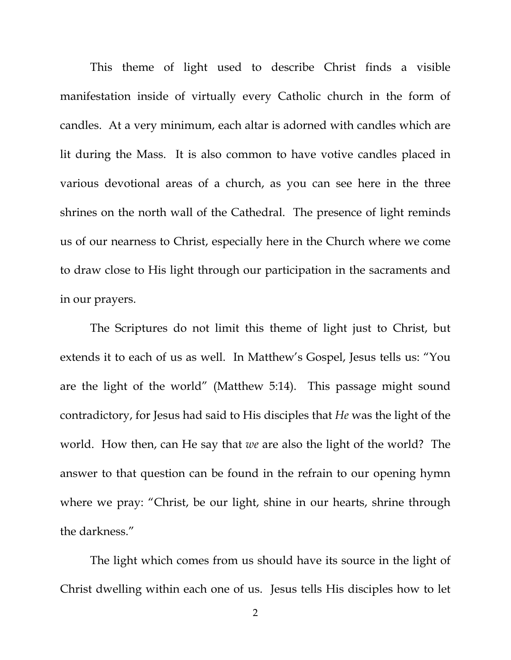This theme of light used to describe Christ finds a visible manifestation inside of virtually every Catholic church in the form of candles. At a very minimum, each altar is adorned with candles which are lit during the Mass. It is also common to have votive candles placed in various devotional areas of a church, as you can see here in the three shrines on the north wall of the Cathedral. The presence of light reminds us of our nearness to Christ, especially here in the Church where we come to draw close to His light through our participation in the sacraments and in our prayers.

 The Scriptures do not limit this theme of light just to Christ, but extends it to each of us as well. In Matthew's Gospel, Jesus tells us: "You are the light of the world" (Matthew 5:14). This passage might sound contradictory, for Jesus had said to His disciples that *He* was the light of the world. How then, can He say that *we* are also the light of the world? The answer to that question can be found in the refrain to our opening hymn where we pray: "Christ, be our light, shine in our hearts, shrine through the darkness."

 The light which comes from us should have its source in the light of Christ dwelling within each one of us. Jesus tells His disciples how to let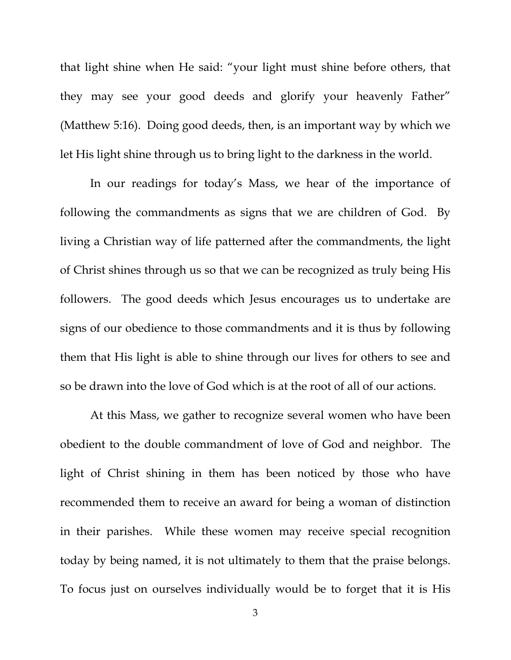that light shine when He said: "your light must shine before others, that they may see your good deeds and glorify your heavenly Father" (Matthew 5:16). Doing good deeds, then, is an important way by which we let His light shine through us to bring light to the darkness in the world.

 In our readings for today's Mass, we hear of the importance of following the commandments as signs that we are children of God. By living a Christian way of life patterned after the commandments, the light of Christ shines through us so that we can be recognized as truly being His followers. The good deeds which Jesus encourages us to undertake are signs of our obedience to those commandments and it is thus by following them that His light is able to shine through our lives for others to see and so be drawn into the love of God which is at the root of all of our actions.

 At this Mass, we gather to recognize several women who have been obedient to the double commandment of love of God and neighbor. The light of Christ shining in them has been noticed by those who have recommended them to receive an award for being a woman of distinction in their parishes. While these women may receive special recognition today by being named, it is not ultimately to them that the praise belongs. To focus just on ourselves individually would be to forget that it is His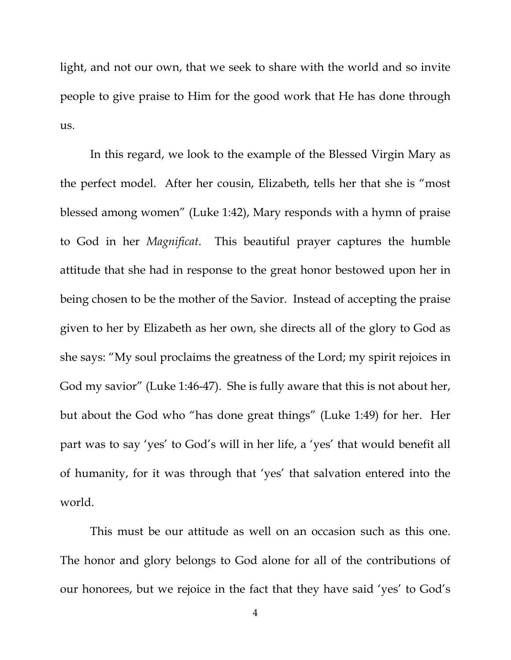light, and not our own, that we seek to share with the world and so invite people to give praise to Him for the good work that He has done through us.

In this regard, we look to the example of the Blessed Virgin Mary as the perfect model. After her cousin, Elizabeth, tells her that she is "most blessed among women" (Luke 1:42), Mary responds with a hymn of praise to God in her *Magnificat*. This beautiful prayer captures the humble attitude that she had in response to the great honor bestowed upon her in being chosen to be the mother of the Savior. Instead of accepting the praise given to her by Elizabeth as her own, she directs all of the glory to God as she says: "My soul proclaims the greatness of the Lord; my spirit rejoices in God my savior" (Luke 1:46-47). She is fully aware that this is not about her, but about the God who "has done great things" (Luke 1:49) for her. Her part was to say 'yes' to God's will in her life, a 'yes' that would benefit all of humanity, for it was through that 'yes' that salvation entered into the world.

This must be our attitude as well on an occasion such as this one. The honor and glory belongs to God alone for all of the contributions of our honorees, but we rejoice in the fact that they have said 'yes' to God's